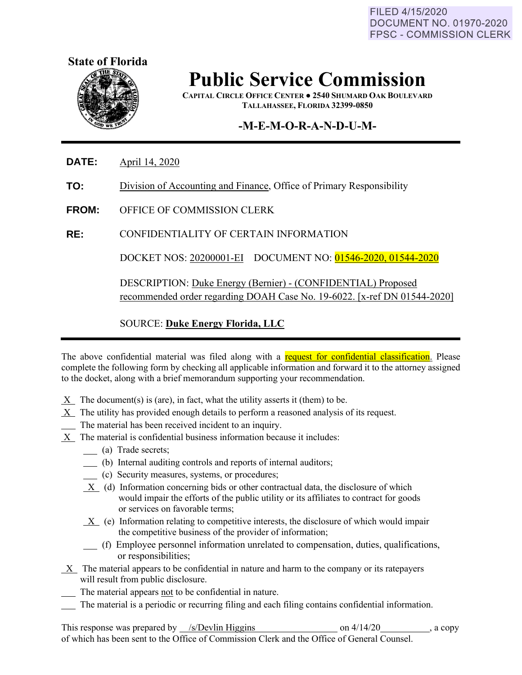FILED 4/15/2020 **DOCUMENT NO. 01970-2020 FPSC - COMMISSION CLERK** 



## **Public Service Commission**

**CAPITAL CIRCLE OFFICE CENTER ● 2540 SHUMARD OAK BOULEVARD TALLAHASSEE, FLORIDA 32399-0850**

## **-M-E-M-O-R-A-N-D-U-M-**

**DATE:** April 14, 2020

**TO:** Division of Accounting and Finance, Office of Primary Responsibility

**FROM:** OFFICE OF COMMISSION CLERK

**RE:** CONFIDENTIALITY OF CERTAIN INFORMATION

DOCKET NOS: 20200001-EI DOCUMENT NO: 01546-2020, 01544-2020

DESCRIPTION: Duke Energy (Bernier) - (CONFIDENTIAL) Proposed recommended order regarding DOAH Case No. 19-6022. [x-ref DN 01544-2020]

SOURCE: **Duke Energy Florida, LLC**

The above confidential material was filed along with a request for confidential classification. Please complete the following form by checking all applicable information and forward it to the attorney assigned to the docket, along with a brief memorandum supporting your recommendation.

- $X$  The document(s) is (are), in fact, what the utility asserts it (them) to be.
- $X$  The utility has provided enough details to perform a reasoned analysis of its request.
- The material has been received incident to an inquiry.
- $X$  The material is confidential business information because it includes:
	- (a) Trade secrets;
	- (b) Internal auditing controls and reports of internal auditors;
	- (c) Security measures, systems, or procedures;
	- $X$  (d) Information concerning bids or other contractual data, the disclosure of which would impair the efforts of the public utility or its affiliates to contract for goods or services on favorable terms;
	- $X$  (e) Information relating to competitive interests, the disclosure of which would impair the competitive business of the provider of information;
	- (f) Employee personnel information unrelated to compensation, duties, qualifications, or responsibilities;
- X The material appears to be confidential in nature and harm to the company or its ratepayers will result from public disclosure.
- The material appears not to be confidential in nature.
- The material is a periodic or recurring filing and each filing contains confidential information.

This response was prepared by /s/Devlin Higgins on 4/14/20 , a copy of which has been sent to the Office of Commission Clerk and the Office of General Counsel.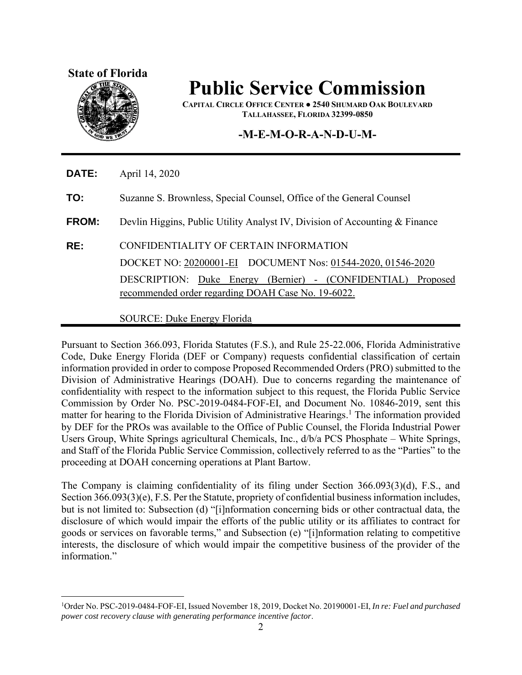

## **Public Service Commission**

**CAPITAL CIRCLE OFFICE CENTER ● 2540 SHUMARD OAK BOULEVARD TALLAHASSEE, FLORIDA 32399-0850**

## **-M-E-M-O-R-A-N-D-U-M-**

**DATE:** April 14, 2020

**TO:** Suzanne S. Brownless, Special Counsel, Office of the General Counsel

**FROM:** Devlin Higgins, Public Utility Analyst IV, Division of Accounting & Finance

**RE:** CONFIDENTIALITY OF CERTAIN INFORMATION DOCKET NO: 20200001-EI DOCUMENT Nos: 01544-2020, 01546-2020 DESCRIPTION: Duke Energy (Bernier) - (CONFIDENTIAL) Proposed recommended order regarding DOAH Case No. 19-6022.

SOURCE: Duke Energy Florida

Pursuant to Section 366.093, Florida Statutes (F.S.), and Rule 25-22.006, Florida Administrative Code, Duke Energy Florida (DEF or Company) requests confidential classification of certain information provided in order to compose Proposed Recommended Orders (PRO) submitted to the Division of Administrative Hearings (DOAH). Due to concerns regarding the maintenance of confidentiality with respect to the information subject to this request, the Florida Public Service Commission by Order No. PSC-2019-0484-FOF-EI, and Document No. 10846-2019, sent this matter for hearing to the Florida Division of Administrative Hearings.<sup>1</sup> The information provided by DEF for the PROs was available to the Office of Public Counsel, the Florida Industrial Power Users Group, White Springs agricultural Chemicals, Inc., d/b/a PCS Phosphate – White Springs, and Staff of the Florida Public Service Commission, collectively referred to as the "Parties" to the proceeding at DOAH concerning operations at Plant Bartow.

The Company is claiming confidentiality of its filing under Section 366.093(3)(d), F.S., and Section 366.093(3)(e), F.S. Per the Statute, propriety of confidential business information includes, but is not limited to: Subsection (d) "[i]nformation concerning bids or other contractual data, the disclosure of which would impair the efforts of the public utility or its affiliates to contract for goods or services on favorable terms," and Subsection (e) "[i]nformation relating to competitive interests, the disclosure of which would impair the competitive business of the provider of the information."

<sup>1</sup>Order No. PSC-2019-0484-FOF-EI, Issued November 18, 2019, Docket No. 20190001-EI, *In re: Fuel and purchased power cost recovery clause with generating performance incentive factor*.